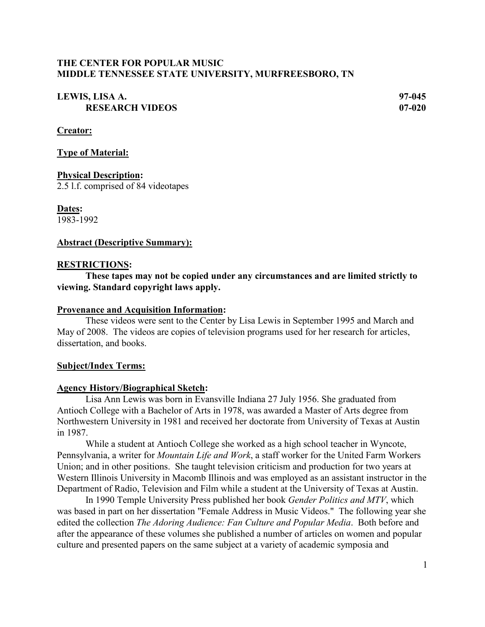## **THE CENTER FOR POPULAR MUSIC MIDDLE TENNESSEE STATE UNIVERSITY, MURFREESBORO, TN**

## **LEWIS, LISA A. 97-045 RESEARCH VIDEOS 07-020**

**Creator:**

**Type of Material:**

**Physical Description:** 2.5 l.f. comprised of 84 videotapes

**Dates:** 1983-1992

#### **Abstract (Descriptive Summary):**

#### **RESTRICTIONS:**

**These tapes may not be copied under any circumstances and are limited strictly to viewing. Standard copyright laws apply.**

#### **Provenance and Acquisition Information:**

These videos were sent to the Center by Lisa Lewis in September 1995 and March and May of 2008. The videos are copies of television programs used for her research for articles, dissertation, and books.

#### **Subject/Index Terms:**

#### **Agency History/Biographical Sketch:**

Lisa Ann Lewis was born in Evansville Indiana 27 July 1956. She graduated from Antioch College with a Bachelor of Arts in 1978, was awarded a Master of Arts degree from Northwestern University in 1981 and received her doctorate from University of Texas at Austin in 1987.

While a student at Antioch College she worked as a high school teacher in Wyncote, Pennsylvania, a writer for *Mountain Life and Work*, a staff worker for the United Farm Workers Union; and in other positions. She taught television criticism and production for two years at Western Illinois University in Macomb Illinois and was employed as an assistant instructor in the Department of Radio, Television and Film while a student at the University of Texas at Austin.

In 1990 Temple University Press published her book *Gender Politics and MTV*, which was based in part on her dissertation "Female Address in Music Videos." The following year she edited the collection *The Adoring Audience: Fan Culture and Popular Media*. Both before and after the appearance of these volumes she published a number of articles on women and popular culture and presented papers on the same subject at a variety of academic symposia and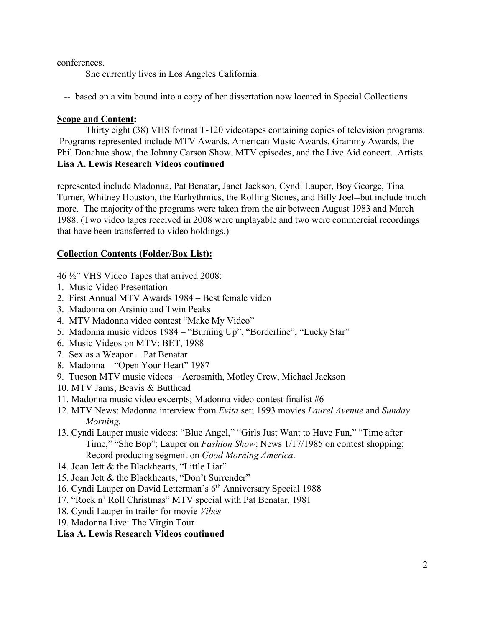conferences.

She currently lives in Los Angeles California.

-- based on a vita bound into a copy of her dissertation now located in Special Collections

## **Scope and Content:**

Thirty eight (38) VHS format T-120 videotapes containing copies of television programs. Programs represented include MTV Awards, American Music Awards, Grammy Awards, the Phil Donahue show, the Johnny Carson Show, MTV episodes, and the Live Aid concert. Artists **Lisa A. Lewis Research Videos continued**

represented include Madonna, Pat Benatar, Janet Jackson, Cyndi Lauper, Boy George, Tina Turner, Whitney Houston, the Eurhythmics, the Rolling Stones, and Billy Joel--but include much more. The majority of the programs were taken from the air between August 1983 and March 1988. (Two video tapes received in 2008 were unplayable and two were commercial recordings that have been transferred to video holdings.)

# **Collection Contents (Folder/Box List):**

46 ½" VHS Video Tapes that arrived 2008:

- 1. Music Video Presentation
- 2. First Annual MTV Awards 1984 Best female video
- 3. Madonna on Arsinio and Twin Peaks
- 4. MTV Madonna video contest "Make My Video"
- 5. Madonna music videos 1984 "Burning Up", "Borderline", "Lucky Star"
- 6. Music Videos on MTV; BET, 1988
- 7. Sex as a Weapon Pat Benatar
- 8. Madonna "Open Your Heart" 1987
- 9. Tucson MTV music videos Aerosmith, Motley Crew, Michael Jackson
- 10. MTV Jams; Beavis & Butthead
- 11. Madonna music video excerpts; Madonna video contest finalist #6
- 12. MTV News: Madonna interview from *Evita* set; 1993 movies *Laurel Avenue* and *Sunday Morning.*
- 13. Cyndi Lauper music videos: "Blue Angel," "Girls Just Want to Have Fun," "Time after Time," "She Bop"; Lauper on *Fashion Show*; News 1/17/1985 on contest shopping; Record producing segment on *Good Morning America*.
- 14. Joan Jett & the Blackhearts, "Little Liar"
- 15. Joan Jett & the Blackhearts, "Don't Surrender"
- 16. Cyndi Lauper on David Letterman's 6<sup>th</sup> Anniversary Special 1988
- 17. "Rock n' Roll Christmas" MTV special with Pat Benatar, 1981
- 18. Cyndi Lauper in trailer for movie *Vibes*
- 19. Madonna Live: The Virgin Tour

#### **Lisa A. Lewis Research Videos continued**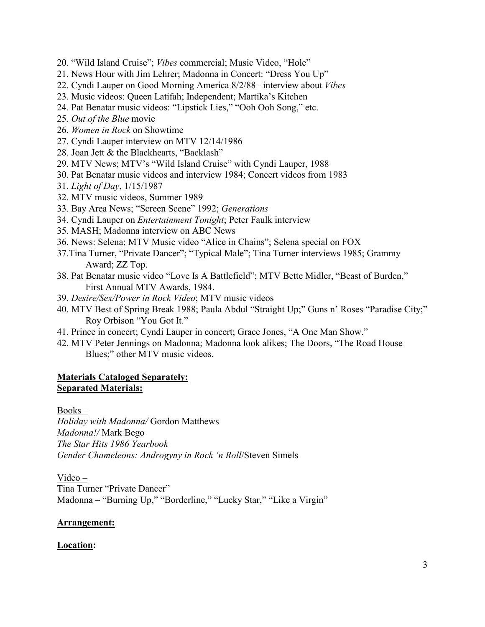- 20. "Wild Island Cruise"; *Vibes* commercial; Music Video, "Hole"
- 21. News Hour with Jim Lehrer; Madonna in Concert: "Dress You Up"
- 22. Cyndi Lauper on Good Morning America 8/2/88– interview about *Vibes*
- 23. Music videos: Queen Latifah; Independent; Martika's Kitchen
- 24. Pat Benatar music videos: "Lipstick Lies," "Ooh Ooh Song," etc.
- 25. *Out of the Blue* movie
- 26. *Women in Rock* on Showtime
- 27. Cyndi Lauper interview on MTV 12/14/1986
- 28. Joan Jett & the Blackhearts, "Backlash"
- 29. MTV News; MTV's "Wild Island Cruise" with Cyndi Lauper, 1988
- 30. Pat Benatar music videos and interview 1984; Concert videos from 1983
- 31. *Light of Day*, 1/15/1987
- 32. MTV music videos, Summer 1989
- 33. Bay Area News; "Screen Scene" 1992; *Generations*
- 34. Cyndi Lauper on *Entertainment Tonight*; Peter Faulk interview
- 35. MASH; Madonna interview on ABC News
- 36. News: Selena; MTV Music video "Alice in Chains"; Selena special on FOX
- 37.Tina Turner, "Private Dancer"; "Typical Male"; Tina Turner interviews 1985; Grammy Award; ZZ Top.
- 38. Pat Benatar music video "Love Is A Battlefield"; MTV Bette Midler, "Beast of Burden," First Annual MTV Awards, 1984.
- 39. *Desire/Sex/Power in Rock Video*; MTV music videos
- 40. MTV Best of Spring Break 1988; Paula Abdul "Straight Up;" Guns n' Roses "Paradise City;" Roy Orbison "You Got It."
- 41. Prince in concert; Cyndi Lauper in concert; Grace Jones, "A One Man Show."
- 42. MTV Peter Jennings on Madonna; Madonna look alikes; The Doors, "The Road House Blues;" other MTV music videos.

## **Materials Cataloged Separately: Separated Materials:**

Books –

*Holiday with Madonna/* Gordon Matthews *Madonna!/* Mark Bego *The Star Hits 1986 Yearbook Gender Chameleons: Androgyny in Rock 'n Roll*/Steven Simels

Video – Tina Turner "Private Dancer" Madonna – "Burning Up," "Borderline," "Lucky Star," "Like a Virgin"

# **Arrangement:**

# **Location:**